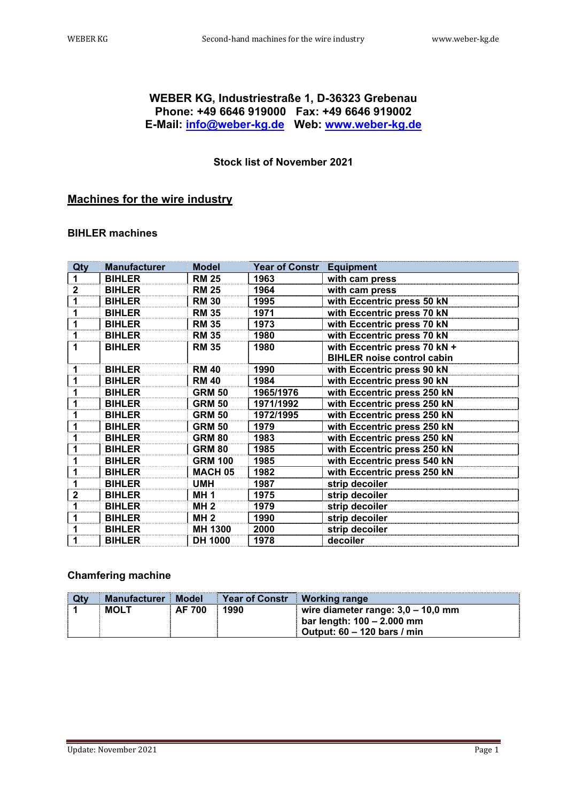# **WEBER KG, Industriestraße 1, D-36323 Grebenau Phone: +49 6646 919000 Fax: +49 6646 919002 E-Mail: info@weber-kg.de Web: www.weber-kg.de**

## **Stock list of November 2021**

# **Machines for the wire industry**

#### **BIHLER machines**

| Qty | <b>Manufacturer</b> | <b>Model</b>   | Year of Constr   Equipment |                                   |
|-----|---------------------|----------------|----------------------------|-----------------------------------|
|     | <b>BIHLER</b>       | <b>RM 25</b>   | 1963                       | with cam press                    |
| 2   | <b>BIHLER</b>       | <b>RM 25</b>   | 1964                       | with cam press                    |
|     | <b>BIHLER</b>       | <b>RM 30</b>   | 1995                       | with Eccentric press 50 kN        |
| 1   | <b>BIHLER</b>       | <b>RM 35</b>   | 1971                       | with Eccentric press 70 kN        |
|     | <b>BIHLER</b>       | <b>RM 35</b>   | 1973                       | with Eccentric press 70 kN        |
|     | <b>BIHLER</b>       | <b>RM 35</b>   | 1980                       | with Eccentric press 70 kN        |
| 1   | <b>BIHLER</b>       | <b>RM 35</b>   | 1980                       | with Eccentric press 70 kN +      |
|     |                     |                |                            | <b>BIHLER noise control cabin</b> |
| 1   | <b>BIHLER</b>       | <b>RM 40</b>   | 1990                       | with Eccentric press 90 kN        |
| 1   | <b>BIHLER</b>       | <b>RM 40</b>   | 1984                       | with Eccentric press 90 kN        |
|     | <b>BIHLER</b>       | <b>GRM 50</b>  | 1965/1976                  | with Eccentric press 250 kN       |
|     | <b>BIHLER</b>       | <b>GRM 50</b>  | 1971/1992                  | with Eccentric press 250 kN       |
|     | <b>BIHLER</b>       | <b>GRM 50</b>  | 1972/1995                  | with Eccentric press 250 kN       |
| 1   | <b>BIHLER</b>       | <b>GRM 50</b>  | 1979                       | with Eccentric press 250 kN       |
|     | <b>BIHLER</b>       | <b>GRM 80</b>  | 1983                       | with Eccentric press 250 kN       |
| 1   | <b>BIHLER</b>       | <b>GRM 80</b>  | 1985                       | with Eccentric press 250 kN       |
|     | <b>BIHLER</b>       | <b>GRM 100</b> | 1985                       | with Eccentric press 540 kN       |
| 1   | <b>BIHLER</b>       | <b>MACH 05</b> | 1982                       | with Eccentric press 250 kN       |
| 1   | <b>BIHLER</b>       | <b>UMH</b>     | 1987                       | strip decoiler                    |
| 2   | <b>BIHLER</b>       | <b>MH1</b>     | 1975                       | strip decoiler                    |
| 1   | <b>BIHLER</b>       | <b>MH 2</b>    | 1979                       | strip decoiler                    |
| 1   | <b>BIHLER</b>       | <b>MH 2</b>    | 1990                       | strip decoiler                    |
| 1   | <b>BIHLER</b>       | MH 1300        | 2000                       | strip decoiler                    |
| 1   | <b>BIHLER</b>       | <b>DH 1000</b> | 1978                       | decoiler                          |

#### **Chamfering machine**

| <b>Qty</b> | Manufacturer Model |               | Year of Constr   Working range |                                                                                                                  |
|------------|--------------------|---------------|--------------------------------|------------------------------------------------------------------------------------------------------------------|
|            | <b>MOLT</b>        | <b>AF 700</b> | 1990                           | wire diameter range: $3,0 - 10,0$ mm<br>bar length: 100 - 2.000 mm<br>$\blacksquare$ Output: 60 – 120 bars / min |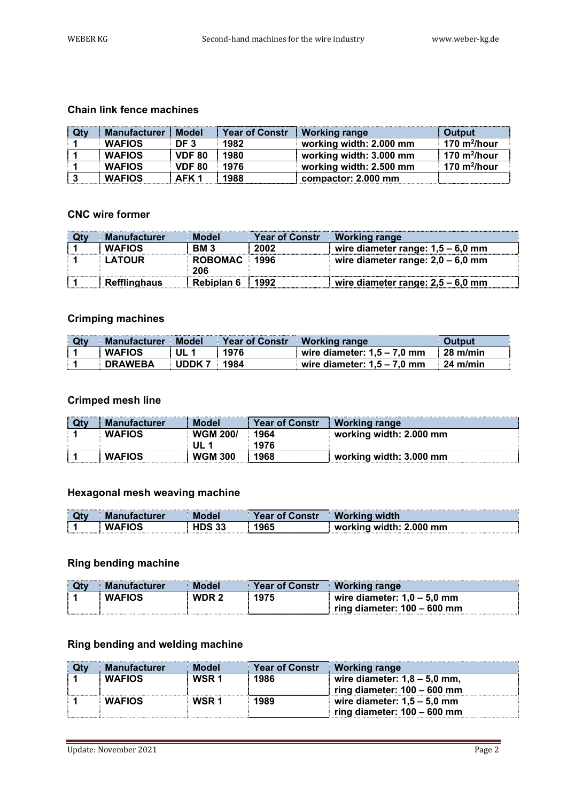#### **Chain link fence machines**

| <b>Qty</b> | <b>Manufacturer</b> | <b>Model</b>  | <b>Year of Constr</b> | <b>Working range</b>    | <b>Output</b>   |
|------------|---------------------|---------------|-----------------------|-------------------------|-----------------|
|            | <b>WAFIOS</b>       | DF 3          | 1982                  | working width: 2.000 mm | 170 $m^2/h$ our |
|            | <b>WAFIOS</b>       | <b>VDF 80</b> | 1980                  | working width: 3.000 mm | 170 $m^2/h$ our |
|            | <b>WAFIOS</b>       | <b>VDF 80</b> | 1976                  | working width: 2.500 mm | 170 $m^2/h$ our |
|            | <b>WAFIOS</b>       | AFK 1         | 1988                  | compactor: 2.000 mm     |                 |

#### **CNC wire former**

| <b>Qty</b> | <b>Manufacturer</b> | <b>Model</b>   | <b>Year of Constr</b> | <b>Working range</b>                |
|------------|---------------------|----------------|-----------------------|-------------------------------------|
|            | <b>WAFIOS</b>       | <b>BM3</b>     | 2002                  | wire diameter range: $1,5 - 6,0$ mm |
|            | LATOUR              | <b>ROBOMAC</b> | 1996                  | wire diameter range: $2,0 - 6,0$ mm |
|            |                     | 206            |                       |                                     |
|            | <b>Refflinghaus</b> | Rebiplan 6     | 1992                  | wire diameter range: $2,5 - 6,0$ mm |

#### **Crimping machines**

| <b>Qty</b> | Manufacturer Model |                 | <b>Year of Constri</b> | <b>Working range</b>          | Output         |
|------------|--------------------|-----------------|------------------------|-------------------------------|----------------|
|            | <b>WAFIOS</b>      | UL 1            | 1976                   | wire diameter: $1.5 - 7.0$ mm | $\pm 28$ m/min |
|            | <b>DRAWEBA</b>     | l <b>innk 7</b> | 1984                   | wire diameter: $1.5 - 7.0$ mm | 24 m/min       |

#### **Crimped mesh line**

| Qty | <b>Manufacturer</b> | <b>Model</b>    | <b>Year of Constr</b> | <b>Working range</b>    |
|-----|---------------------|-----------------|-----------------------|-------------------------|
|     | <b>WAFIOS</b>       | <b>WGM 200/</b> | 1964                  | working width: 2.000 mm |
|     |                     | III 1           | 1976                  |                         |
|     | <b>WAFIOS</b>       | <b>WGM 300</b>  | 1968                  | working width: 3.000 mm |

#### **Hexagonal mesh weaving machine**

| Qty | <b>Manufacturer</b> | <b>Model</b> | <b>Year of Constr</b> | <b>Working width</b>    |
|-----|---------------------|--------------|-----------------------|-------------------------|
|     | <b>WAFIOS</b>       | HDS 33       | 1965                  | working width: 2.000 mm |

#### **Ring bending machine**

| Qtv | <b>Manufacturer</b> | Model            | <b>Year of Constr</b> | ∣ Working range               |
|-----|---------------------|------------------|-----------------------|-------------------------------|
|     | <b>WAFIOS</b>       | WDR <sub>2</sub> | 1975                  | wire diameter: $1,0 - 5,0$ mm |
|     |                     |                  |                       | ring diameter: $100 - 600$ mm |

#### **Ring bending and welding machine**

| <b>Manufacturer</b> | <b>Model</b>     | <b>Year of Constr</b> | <b>Working range</b>           |
|---------------------|------------------|-----------------------|--------------------------------|
| <b>WAFIOS</b>       | WSR <sub>1</sub> | 1986                  | wire diameter: $1,8 - 5.0$ mm, |
|                     |                  |                       | ring diameter: $100 - 600$ mm  |
| <b>WAFIOS</b>       | WSR 1            | 1989                  | wire diameter: $1,5 - 5,0$ mm  |
|                     |                  |                       | ring diameter: $100 - 600$ mm  |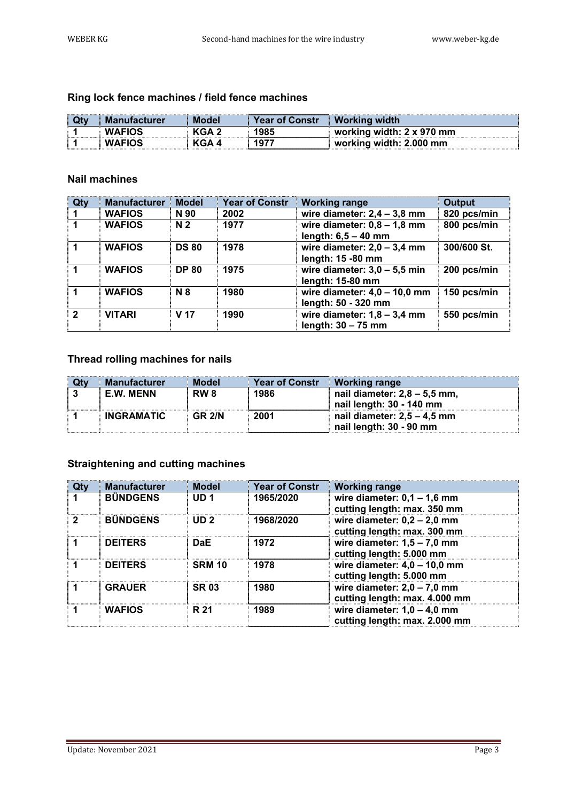# **Ring lock fence machines / field fence machines**

| <b>Manufacturer</b> | <b>Model</b> | <b>Year of Constr</b> | <b>Working width</b>      |
|---------------------|--------------|-----------------------|---------------------------|
| <b>WAFIOS</b>       | KGA 2        | 1985                  | working width: 2 x 970 mm |
| <b>WAFIOS</b>       | KGA 4        | 1977                  | working width: 2.000 mm   |

### **Nail machines**

| Qty          | <b>Manufacturer</b> | <b>Model</b>    | <b>Year of Constr</b> | <b>Working range</b>                                   | Output      |
|--------------|---------------------|-----------------|-----------------------|--------------------------------------------------------|-------------|
|              | <b>WAFIOS</b>       | N 90            | 2002                  | wire diameter: $2,4 - 3,8$ mm                          | 820 pcs/min |
|              | <b>WAFIOS</b>       | N <sub>2</sub>  | 1977                  | wire diameter: $0,8 - 1,8$ mm<br>length: $6,5 - 40$ mm | 800 pcs/min |
|              | <b>WAFIOS</b>       | <b>DS 80</b>    | 1978                  | wire diameter: $2,0 - 3,4$ mm<br>length: 15 -80 mm     | 300/600 St. |
|              | <b>WAFIOS</b>       | <b>DP 80</b>    | 1975                  | wire diameter: $3,0 - 5,5$ min<br>length: 15-80 mm     | 200 pcs/min |
|              | <b>WAFIOS</b>       | <b>N</b> 8      | 1980                  | wire diameter: $4,0 - 10,0$ mm<br>length: 50 - 320 mm  | 150 pcs/min |
| $\mathbf{2}$ | <b>VITARI</b>       | V <sub>17</sub> | 1990                  | wire diameter: $1,8 - 3,4$ mm<br>length: $30 - 75$ mm  | 550 pcs/min |

### **Thread rolling machines for nails**

| <b>Manufacturer</b> | <b>Model</b>    | <b>Year of Constr</b> | <b>Working range</b>          |
|---------------------|-----------------|-----------------------|-------------------------------|
| <b>E.W. MENN</b>    | RW <sub>8</sub> | 1986                  | nail diameter: 2,8 – 5,5 mm,  |
|                     |                 |                       | nail length: 30 - 140 mm      |
| <b>INGRAMATIC</b>   | <b>GR 2/N</b>   | 2001                  | nail diameter: $2,5 - 4,5$ mm |
|                     |                 |                       | nail length: 30 - 90 mm       |

## **Straightening and cutting machines**

| Qtv | <b>Manufacturer</b> | <b>Model</b>    | <b>Year of Constr</b> | <b>Working range</b>                                           |
|-----|---------------------|-----------------|-----------------------|----------------------------------------------------------------|
|     | <b>BÜNDGENS</b>     | UD <sub>1</sub> | 1965/2020             | wire diameter: $0,1 - 1,6$ mm<br>cutting length: max. 350 mm   |
|     | <b>BÜNDGENS</b>     | ID2             | 1968/2020             | wire diameter: $0,2 - 2,0$ mm<br>cutting length: max. 300 mm   |
|     | <b>DEITERS</b>      | <b>DaE</b>      | 1972                  | wire diameter: $1,5 - 7,0$ mm<br>cutting length: 5.000 mm      |
|     | <b>DEITERS</b>      | <b>SRM 10</b>   | 1978                  | wire diameter: $4.0 - 10.0$ mm<br>cutting length: 5.000 mm     |
|     | <b>GRAUER</b>       | <b>SR03</b>     | 1980                  | wire diameter: $2,0 - 7,0$ mm<br>cutting length: max. 4.000 mm |
|     | <b>WAFIOS</b>       | R 21            | 1989                  | wire diameter: $1,0 - 4,0$ mm<br>cutting length: max. 2.000 mm |